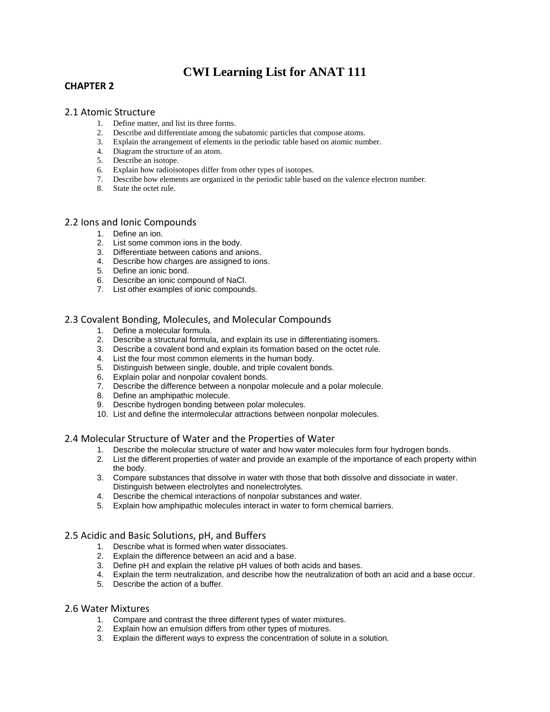# **CWI Learning List for ANAT 111**

# **CHAPTER 2**

# 2.1 Atomic Structure

- 1. Define matter, and list its three forms.
- 2. Describe and differentiate among the subatomic particles that compose atoms.
- 3. Explain the arrangement of elements in the periodic table based on atomic number.
- 4. Diagram the structure of an atom.
- 5. Describe an isotope.
- 6. Explain how radioisotopes differ from other types of isotopes.
- 7. Describe how elements are organized in the periodic table based on the valence electron number.
- 8. State the octet rule.

# 2.2 Ions and Ionic Compounds

- 1. Define an ion.
- 2. List some common ions in the body.
- 3. Differentiate between cations and anions.
- 4. Describe how charges are assigned to ions.
- 5. Define an ionic bond.
- 6. Describe an ionic compound of NaCl.
- 7. List other examples of ionic compounds.

# 2.3 Covalent Bonding, Molecules, and Molecular Compounds

- 1. Define a molecular formula.
- 2. Describe a structural formula, and explain its use in differentiating isomers.
- 3. Describe a covalent bond and explain its formation based on the octet rule.
- 4. List the four most common elements in the human body.
- 5. Distinguish between single, double, and triple covalent bonds.
- 6. Explain polar and nonpolar covalent bonds.
- 7. Describe the difference between a nonpolar molecule and a polar molecule.
- 8. Define an amphipathic molecule.
- 9. Describe hydrogen bonding between polar molecules.
- 10. List and define the intermolecular attractions between nonpolar molecules.

# 2.4 Molecular Structure of Water and the Properties of Water

- 1. Describe the molecular structure of water and how water molecules form four hydrogen bonds.
- 2. List the different properties of water and provide an example of the importance of each property within the body.
- 3. Compare substances that dissolve in water with those that both dissolve and dissociate in water. Distinguish between electrolytes and nonelectrolytes.
- 4. Describe the chemical interactions of nonpolar substances and water.
- 5. Explain how amphipathic molecules interact in water to form chemical barriers.

# 2.5 Acidic and Basic Solutions, pH, and Buffers

- 1. Describe what is formed when water dissociates.
- 2. Explain the difference between an acid and a base.
- 3. Define pH and explain the relative pH values of both acids and bases.
- 4. Explain the term neutralization, and describe how the neutralization of both an acid and a base occur.
- 5. Describe the action of a buffer.

# 2.6 Water Mixtures

- 1. Compare and contrast the three different types of water mixtures.
- 2. Explain how an emulsion differs from other types of mixtures.
- 3. Explain the different ways to express the concentration of solute in a solution.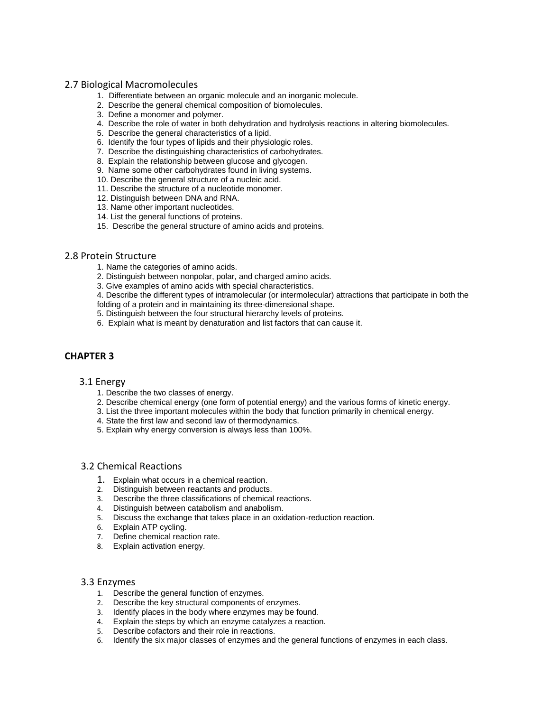# 2.7 Biological Macromolecules

- 1. Differentiate between an organic molecule and an inorganic molecule.
- 2. Describe the general chemical composition of biomolecules.
- 3. Define a monomer and polymer.
- 4. Describe the role of water in both dehydration and hydrolysis reactions in altering biomolecules.
- 5. Describe the general characteristics of a lipid.
- 6. Identify the four types of lipids and their physiologic roles.
- 7. Describe the distinguishing characteristics of carbohydrates.
- 8. Explain the relationship between glucose and glycogen.
- 9. Name some other carbohydrates found in living systems.
- 10. Describe the general structure of a nucleic acid.
- 11. Describe the structure of a nucleotide monomer.
- 12. Distinguish between DNA and RNA.
- 13. Name other important nucleotides.
- 14. List the general functions of proteins.
- 15. Describe the general structure of amino acids and proteins.

#### 2.8 Protein Structure

- 1. Name the categories of amino acids.
- 2. Distinguish between nonpolar, polar, and charged amino acids.
- 3. Give examples of amino acids with special characteristics.
- 4. Describe the different types of intramolecular (or intermolecular) attractions that participate in both the
- folding of a protein and in maintaining its three-dimensional shape.
- 5. Distinguish between the four structural hierarchy levels of proteins.
- 6. Explain what is meant by denaturation and list factors that can cause it.

# **CHAPTER 3**

#### 3.1 Energy

- 1. Describe the two classes of energy.
- 2. Describe chemical energy (one form of potential energy) and the various forms of kinetic energy.
- 3. List the three important molecules within the body that function primarily in chemical energy.
- 4. State the first law and second law of thermodynamics.
- 5. Explain why energy conversion is always less than 100%.

#### 3.2 Chemical Reactions

- 1. Explain what occurs in a chemical reaction.
- 2. Distinguish between reactants and products.
- 3. Describe the three classifications of chemical reactions.
- 4. Distinguish between catabolism and anabolism.
- 5. Discuss the exchange that takes place in an oxidation-reduction reaction.
- 6. Explain ATP cycling.
- 7. Define chemical reaction rate.
- 8. Explain activation energy.

# 3.3 Enzymes

- 1. Describe the general function of enzymes.
- 2. Describe the key structural components of enzymes.
- 3. Identify places in the body where enzymes may be found.
- 4. Explain the steps by which an enzyme catalyzes a reaction.
- 5. Describe cofactors and their role in reactions.
- 6. Identify the six major classes of enzymes and the general functions of enzymes in each class.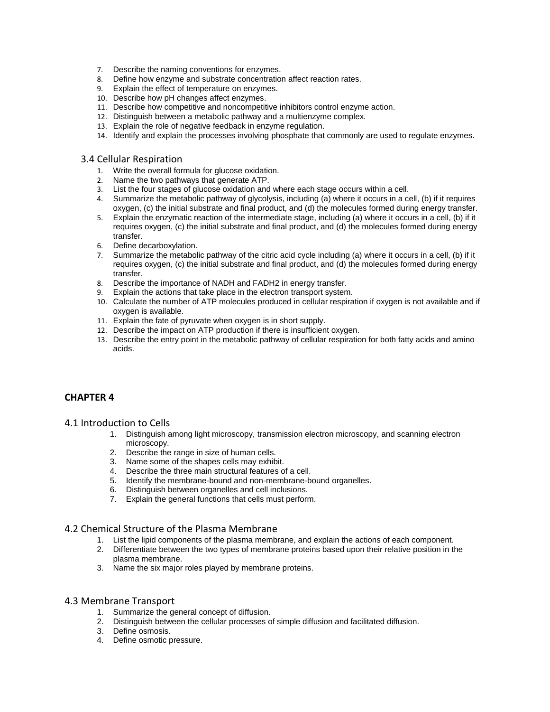- 7. Describe the naming conventions for enzymes.
- 8. Define how enzyme and substrate concentration affect reaction rates.
- 9. Explain the effect of temperature on enzymes.
- 10. Describe how pH changes affect enzymes.
- 11. Describe how competitive and noncompetitive inhibitors control enzyme action.
- 12. Distinguish between a metabolic pathway and a multienzyme complex.
- 13. Explain the role of negative feedback in enzyme regulation.
- 14. Identify and explain the processes involving phosphate that commonly are used to regulate enzymes.

#### 3.4 Cellular Respiration

- 1. Write the overall formula for glucose oxidation.
- 2. Name the two pathways that generate ATP.
- 3. List the four stages of glucose oxidation and where each stage occurs within a cell.
- 4. Summarize the metabolic pathway of glycolysis, including (a) where it occurs in a cell, (b) if it requires oxygen, (c) the initial substrate and final product, and (d) the molecules formed during energy transfer.
- 5. Explain the enzymatic reaction of the intermediate stage, including (a) where it occurs in a cell, (b) if it requires oxygen, (c) the initial substrate and final product, and (d) the molecules formed during energy transfer.
- 6. Define decarboxylation.
- 7. Summarize the metabolic pathway of the citric acid cycle including (a) where it occurs in a cell, (b) if it requires oxygen, (c) the initial substrate and final product, and (d) the molecules formed during energy transfer.
- 8. Describe the importance of NADH and FADH2 in energy transfer.
- 9. Explain the actions that take place in the electron transport system.
- 10. Calculate the number of ATP molecules produced in cellular respiration if oxygen is not available and if oxygen is available.
- 11. Explain the fate of pyruvate when oxygen is in short supply.
- 12. Describe the impact on ATP production if there is insufficient oxygen.
- 13. Describe the entry point in the metabolic pathway of cellular respiration for both fatty acids and amino acids.

# **CHAPTER 4**

#### 4.1 Introduction to Cells

- 1. Distinguish among light microscopy, transmission electron microscopy, and scanning electron microscopy.
- 2. Describe the range in size of human cells.
- 3. Name some of the shapes cells may exhibit.
- 4. Describe the three main structural features of a cell.
- 5. Identify the membrane-bound and non-membrane-bound organelles.
- 6. Distinguish between organelles and cell inclusions.
- 7. Explain the general functions that cells must perform.

# 4.2 Chemical Structure of the Plasma Membrane

- 1. List the lipid components of the plasma membrane, and explain the actions of each component.
- 2. Differentiate between the two types of membrane proteins based upon their relative position in the plasma membrane.
- 3. Name the six major roles played by membrane proteins.

#### 4.3 Membrane Transport

- 1. Summarize the general concept of diffusion.
- 2. Distinguish between the cellular processes of simple diffusion and facilitated diffusion.
- 3. Define osmosis.
- 4. Define osmotic pressure.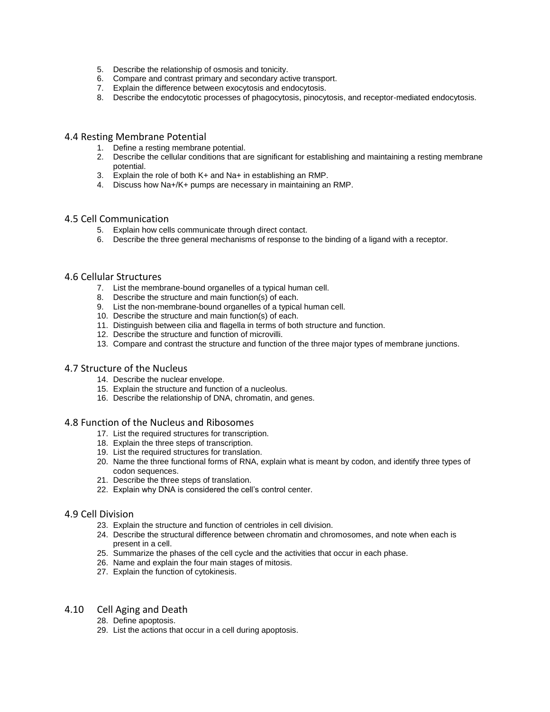- 5. Describe the relationship of osmosis and tonicity.
- 6. Compare and contrast primary and secondary active transport.
- 7. Explain the difference between exocytosis and endocytosis.
- 8. Describe the endocytotic processes of phagocytosis, pinocytosis, and receptor-mediated endocytosis.

#### 4.4 Resting Membrane Potential

- 1. Define a resting membrane potential.
- 2. Describe the cellular conditions that are significant for establishing and maintaining a resting membrane potential.
- 3. Explain the role of both K+ and Na+ in establishing an RMP.
- 4. Discuss how Na+/K+ pumps are necessary in maintaining an RMP.

# 4.5 Cell Communication

- 5. Explain how cells communicate through direct contact.
- 6. Describe the three general mechanisms of response to the binding of a ligand with a receptor.

# 4.6 Cellular Structures

- 7. List the membrane-bound organelles of a typical human cell.
- 8. Describe the structure and main function(s) of each.
- 9. List the non-membrane-bound organelles of a typical human cell.
- 10. Describe the structure and main function(s) of each.
- 11. Distinguish between cilia and flagella in terms of both structure and function.
- 12. Describe the structure and function of microvilli.
- 13. Compare and contrast the structure and function of the three major types of membrane junctions.

# 4.7 Structure of the Nucleus

- 14. Describe the nuclear envelope.
- 15. Explain the structure and function of a nucleolus.
- 16. Describe the relationship of DNA, chromatin, and genes.

# 4.8 Function of the Nucleus and Ribosomes

- 17. List the required structures for transcription.
- 18. Explain the three steps of transcription.
- 19. List the required structures for translation.
- 20. Name the three functional forms of RNA, explain what is meant by codon, and identify three types of codon sequences.
- 21. Describe the three steps of translation.
- 22. Explain why DNA is considered the cell's control center.

# 4.9 Cell Division

- 23. Explain the structure and function of centrioles in cell division.
- 24. Describe the structural difference between chromatin and chromosomes, and note when each is present in a cell.
- 25. Summarize the phases of the cell cycle and the activities that occur in each phase.
- 26. Name and explain the four main stages of mitosis.
- 27. Explain the function of cytokinesis.

### 4.10 Cell Aging and Death

- 28. Define apoptosis.
- 29. List the actions that occur in a cell during apoptosis.